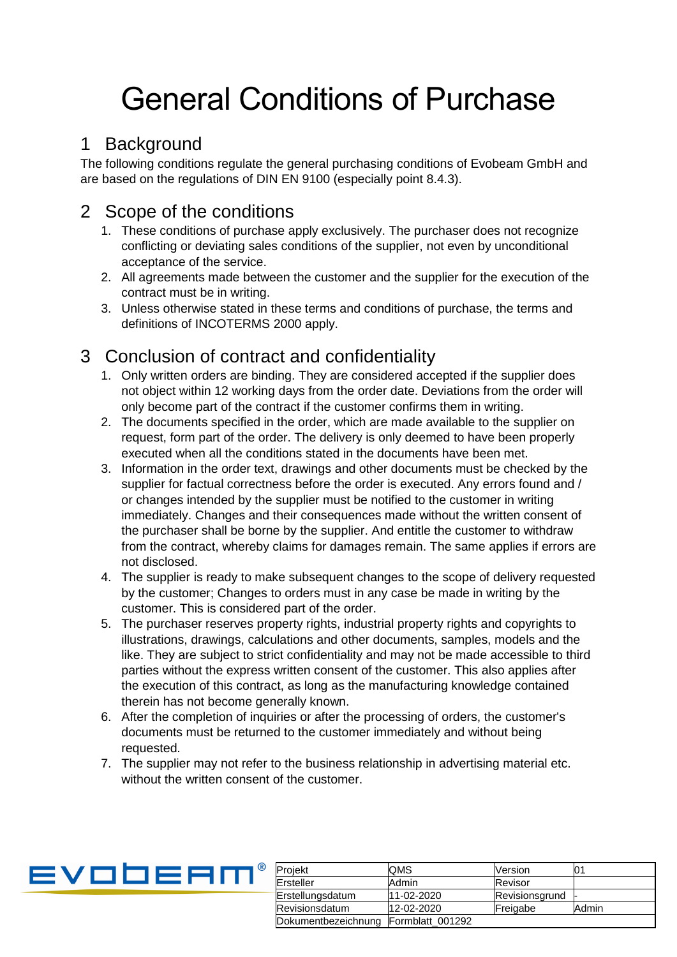# General Conditions of Purchase

## 1 Background

The following conditions regulate the general purchasing conditions of Evobeam GmbH and are based on the regulations of DIN EN 9100 (especially point 8.4.3).

## 2 Scope of the conditions

- 1. These conditions of purchase apply exclusively. The purchaser does not recognize conflicting or deviating sales conditions of the supplier, not even by unconditional acceptance of the service.
- 2. All agreements made between the customer and the supplier for the execution of the contract must be in writing.
- 3. Unless otherwise stated in these terms and conditions of purchase, the terms and definitions of INCOTERMS 2000 apply.

## 3 Conclusion of contract and confidentiality

- 1. Only written orders are binding. They are considered accepted if the supplier does not object within 12 working days from the order date. Deviations from the order will only become part of the contract if the customer confirms them in writing.
- 2. The documents specified in the order, which are made available to the supplier on request, form part of the order. The delivery is only deemed to have been properly executed when all the conditions stated in the documents have been met.
- 3. Information in the order text, drawings and other documents must be checked by the supplier for factual correctness before the order is executed. Any errors found and / or changes intended by the supplier must be notified to the customer in writing immediately. Changes and their consequences made without the written consent of the purchaser shall be borne by the supplier. And entitle the customer to withdraw from the contract, whereby claims for damages remain. The same applies if errors are not disclosed.
- 4. The supplier is ready to make subsequent changes to the scope of delivery requested by the customer; Changes to orders must in any case be made in writing by the customer. This is considered part of the order.
- 5. The purchaser reserves property rights, industrial property rights and copyrights to illustrations, drawings, calculations and other documents, samples, models and the like. They are subject to strict confidentiality and may not be made accessible to third parties without the express written consent of the customer. This also applies after the execution of this contract, as long as the manufacturing knowledge contained therein has not become generally known.
- 6. After the completion of inquiries or after the processing of orders, the customer's documents must be returned to the customer immediately and without being requested.
- 7. The supplier may not refer to the business relationship in advertising material etc. without the written consent of the customer.



| Projekt                              | QMS        | <b>Version</b> | 01    |
|--------------------------------------|------------|----------------|-------|
| Ersteller                            | Admin      | Revisor        |       |
| Erstellungsdatum                     | 11-02-2020 | Revisionsgrund |       |
| Revisionsdatum                       | 12-02-2020 | Freigabe       | Admin |
| Dokumentbezeichnung Formblatt_001292 |            |                |       |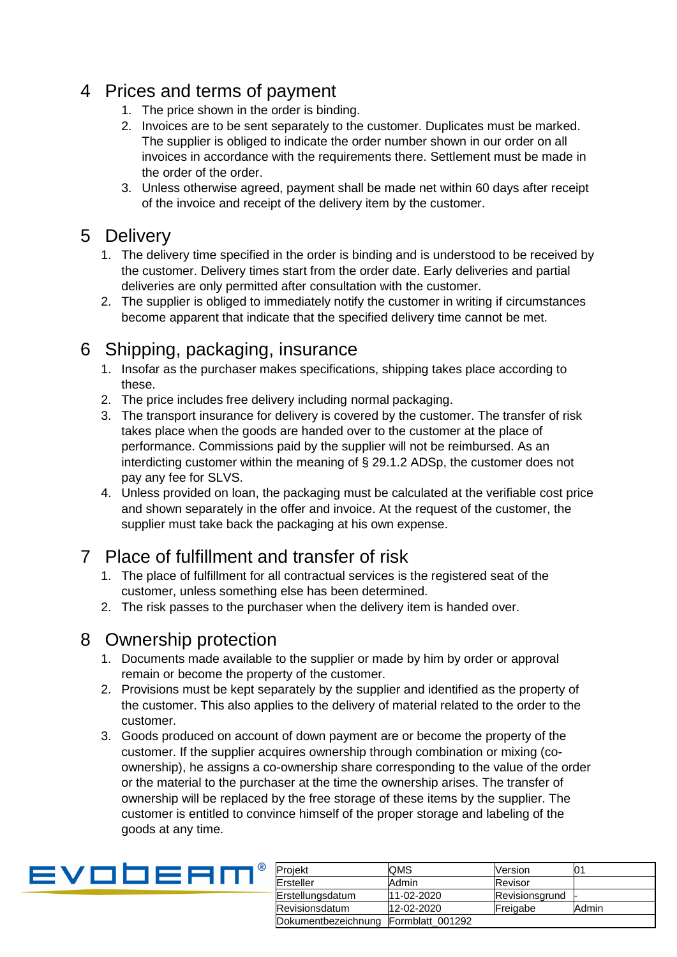## 4 Prices and terms of payment

- 1. The price shown in the order is binding.
- 2. Invoices are to be sent separately to the customer. Duplicates must be marked. The supplier is obliged to indicate the order number shown in our order on all invoices in accordance with the requirements there. Settlement must be made in the order of the order.
- 3. Unless otherwise agreed, payment shall be made net within 60 days after receipt of the invoice and receipt of the delivery item by the customer.

## 5 Delivery

- 1. The delivery time specified in the order is binding and is understood to be received by the customer. Delivery times start from the order date. Early deliveries and partial deliveries are only permitted after consultation with the customer.
- 2. The supplier is obliged to immediately notify the customer in writing if circumstances become apparent that indicate that the specified delivery time cannot be met.

# 6 Shipping, packaging, insurance

- 1. Insofar as the purchaser makes specifications, shipping takes place according to these.
- 2. The price includes free delivery including normal packaging.
- 3. The transport insurance for delivery is covered by the customer. The transfer of risk takes place when the goods are handed over to the customer at the place of performance. Commissions paid by the supplier will not be reimbursed. As an interdicting customer within the meaning of § 29.1.2 ADSp, the customer does not pay any fee for SLVS.
- 4. Unless provided on loan, the packaging must be calculated at the verifiable cost price and shown separately in the offer and invoice. At the request of the customer, the supplier must take back the packaging at his own expense.

## 7 Place of fulfillment and transfer of risk

- 1. The place of fulfillment for all contractual services is the registered seat of the customer, unless something else has been determined.
- 2. The risk passes to the purchaser when the delivery item is handed over.

## 8 Ownership protection

- 1. Documents made available to the supplier or made by him by order or approval remain or become the property of the customer.
- 2. Provisions must be kept separately by the supplier and identified as the property of the customer. This also applies to the delivery of material related to the order to the customer.
- 3. Goods produced on account of down payment are or become the property of the customer. If the supplier acquires ownership through combination or mixing (coownership), he assigns a co-ownership share corresponding to the value of the order or the material to the purchaser at the time the ownership arises. The transfer of ownership will be replaced by the free storage of these items by the supplier. The customer is entitled to convince himself of the proper storage and labeling of the goods at any time.



| Projekt                              | OMS        | Version        | 01    |
|--------------------------------------|------------|----------------|-------|
| Ersteller                            | Admin      | Revisor        |       |
| Erstellungsdatum                     | 11-02-2020 | Revisionsgrund |       |
| Revisionsdatum                       | 12-02-2020 | Freigabe       | Admin |
| Dokumentbezeichnung Formblatt 001292 |            |                |       |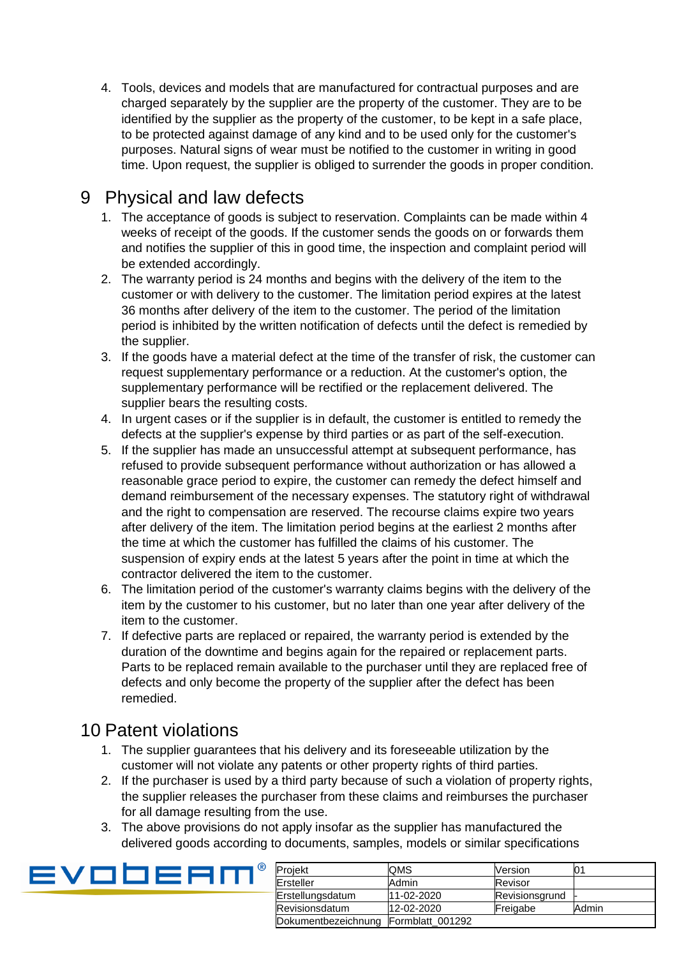4. Tools, devices and models that are manufactured for contractual purposes and are charged separately by the supplier are the property of the customer. They are to be identified by the supplier as the property of the customer, to be kept in a safe place, to be protected against damage of any kind and to be used only for the customer's purposes. Natural signs of wear must be notified to the customer in writing in good time. Upon request, the supplier is obliged to surrender the goods in proper condition.

## 9 Physical and law defects

- 1. The acceptance of goods is subject to reservation. Complaints can be made within 4 weeks of receipt of the goods. If the customer sends the goods on or forwards them and notifies the supplier of this in good time, the inspection and complaint period will be extended accordingly.
- 2. The warranty period is 24 months and begins with the delivery of the item to the customer or with delivery to the customer. The limitation period expires at the latest 36 months after delivery of the item to the customer. The period of the limitation period is inhibited by the written notification of defects until the defect is remedied by the supplier.
- 3. If the goods have a material defect at the time of the transfer of risk, the customer can request supplementary performance or a reduction. At the customer's option, the supplementary performance will be rectified or the replacement delivered. The supplier bears the resulting costs.
- 4. In urgent cases or if the supplier is in default, the customer is entitled to remedy the defects at the supplier's expense by third parties or as part of the self-execution.
- 5. If the supplier has made an unsuccessful attempt at subsequent performance, has refused to provide subsequent performance without authorization or has allowed a reasonable grace period to expire, the customer can remedy the defect himself and demand reimbursement of the necessary expenses. The statutory right of withdrawal and the right to compensation are reserved. The recourse claims expire two years after delivery of the item. The limitation period begins at the earliest 2 months after the time at which the customer has fulfilled the claims of his customer. The suspension of expiry ends at the latest 5 years after the point in time at which the contractor delivered the item to the customer.
- 6. The limitation period of the customer's warranty claims begins with the delivery of the item by the customer to his customer, but no later than one year after delivery of the item to the customer.
- 7. If defective parts are replaced or repaired, the warranty period is extended by the duration of the downtime and begins again for the repaired or replacement parts. Parts to be replaced remain available to the purchaser until they are replaced free of defects and only become the property of the supplier after the defect has been remedied.

## 10 Patent violations

- 1. The supplier guarantees that his delivery and its foreseeable utilization by the customer will not violate any patents or other property rights of third parties.
- 2. If the purchaser is used by a third party because of such a violation of property rights, the supplier releases the purchaser from these claims and reimburses the purchaser for all damage resulting from the use.
- 3. The above provisions do not apply insofar as the supplier has manufactured the delivered goods according to documents, samples, models or similar specifications

| EVODEAM® |  |  |  |
|----------|--|--|--|
|          |  |  |  |

| Projekt                              | QMS        | Version        | 01    |
|--------------------------------------|------------|----------------|-------|
| Ersteller                            | Admin      | Revisor        |       |
| Erstellungsdatum                     | 11-02-2020 | Revisionsgrund |       |
| Revisionsdatum                       | 12-02-2020 | Freigabe       | Admin |
| Dokumentbezeichnung Formblatt 001292 |            |                |       |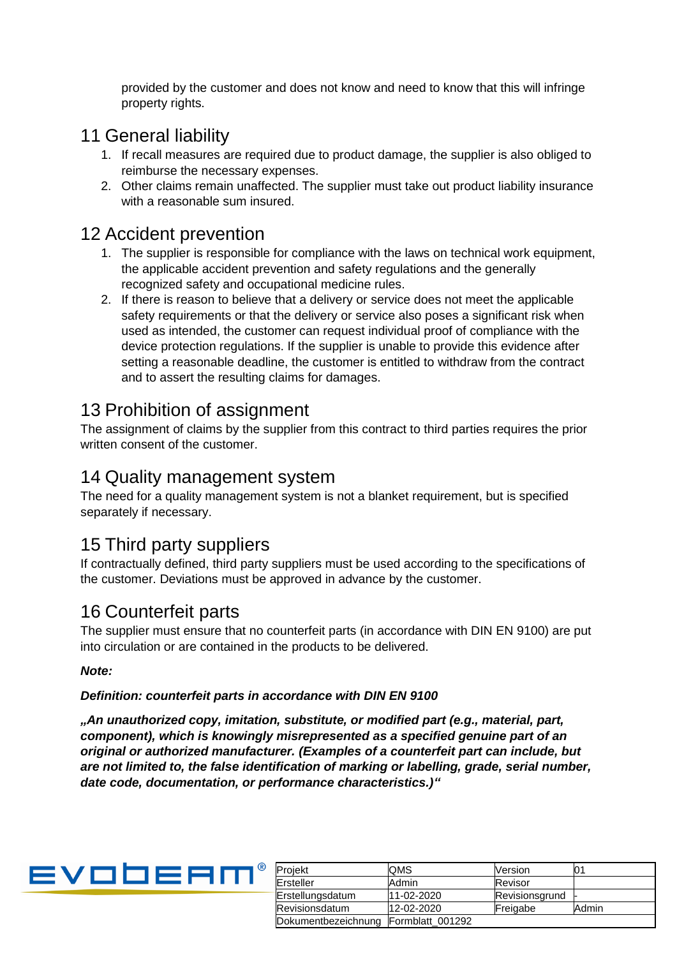provided by the customer and does not know and need to know that this will infringe property rights.

## 11 General liability

- 1. If recall measures are required due to product damage, the supplier is also obliged to reimburse the necessary expenses.
- 2. Other claims remain unaffected. The supplier must take out product liability insurance with a reasonable sum insured.

#### 12 Accident prevention

- 1. The supplier is responsible for compliance with the laws on technical work equipment, the applicable accident prevention and safety regulations and the generally recognized safety and occupational medicine rules.
- 2. If there is reason to believe that a delivery or service does not meet the applicable safety requirements or that the delivery or service also poses a significant risk when used as intended, the customer can request individual proof of compliance with the device protection regulations. If the supplier is unable to provide this evidence after setting a reasonable deadline, the customer is entitled to withdraw from the contract and to assert the resulting claims for damages.

# 13 Prohibition of assignment

The assignment of claims by the supplier from this contract to third parties requires the prior written consent of the customer.

## 14 Quality management system

The need for a quality management system is not a blanket requirement, but is specified separately if necessary.

# 15 Third party suppliers

If contractually defined, third party suppliers must be used according to the specifications of the customer. Deviations must be approved in advance by the customer.

## 16 Counterfeit parts

The supplier must ensure that no counterfeit parts (in accordance with DIN EN 9100) are put into circulation or are contained in the products to be delivered.

*Note:*

#### *Definition: counterfeit parts in accordance with DIN EN 9100*

*"An unauthorized copy, imitation, substitute, or modified part (e.g., material, part, component), which is knowingly misrepresented as a specified genuine part of an original or authorized manufacturer. (Examples of a counterfeit part can include, but are not limited to, the false identification of marking or labelling, grade, serial number, date code, documentation, or performance characteristics.)"*



| Projekt                              | <b>QMS</b> | Version        | 01    |
|--------------------------------------|------------|----------------|-------|
| Ersteller                            | Admin      | Revisor        |       |
| Erstellungsdatum                     | 11-02-2020 | Revisionsgrund |       |
| Revisionsdatum                       | 12-02-2020 | Freigabe       | Admin |
| Dokumentbezeichnung Formblatt 001292 |            |                |       |